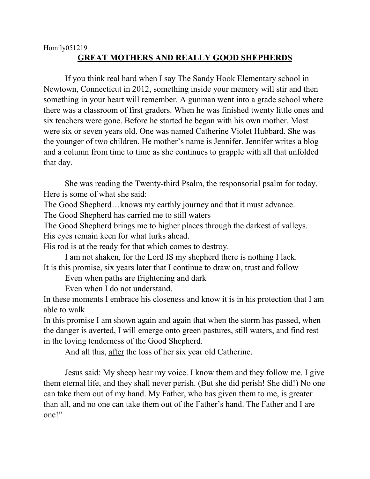## Homily051219 **GREAT MOTHERS AND REALLY GOOD SHEPHERDS**

If you think real hard when I say The Sandy Hook Elementary school in Newtown, Connecticut in 2012, something inside your memory will stir and then something in your heart will remember. A gunman went into a grade school where there was a classroom of first graders. When he was finished twenty little ones and six teachers were gone. Before he started he began with his own mother. Most were six or seven years old. One was named Catherine Violet Hubbard. She was the younger of two children. He mother's name is Jennifer. Jennifer writes a blog and a column from time to time as she continues to grapple with all that unfolded that day.

She was reading the Twenty-third Psalm, the responsorial psalm for today. Here is some of what she said:

The Good Shepherd…knows my earthly journey and that it must advance.

The Good Shepherd has carried me to still waters

The Good Shepherd brings me to higher places through the darkest of valleys. His eyes remain keen for what lurks ahead.

His rod is at the ready for that which comes to destroy.

I am not shaken, for the Lord IS my shepherd there is nothing I lack. It is this promise, six years later that I continue to draw on, trust and follow

Even when paths are frightening and dark

Even when I do not understand.

In these moments I embrace his closeness and know it is in his protection that I am able to walk

In this promise I am shown again and again that when the storm has passed, when the danger is averted, I will emerge onto green pastures, still waters, and find rest in the loving tenderness of the Good Shepherd.

And all this, after the loss of her six year old Catherine.

Jesus said: My sheep hear my voice. I know them and they follow me. I give them eternal life, and they shall never perish. (But she did perish! She did!) No one can take them out of my hand. My Father, who has given them to me, is greater than all, and no one can take them out of the Father's hand. The Father and I are one!"